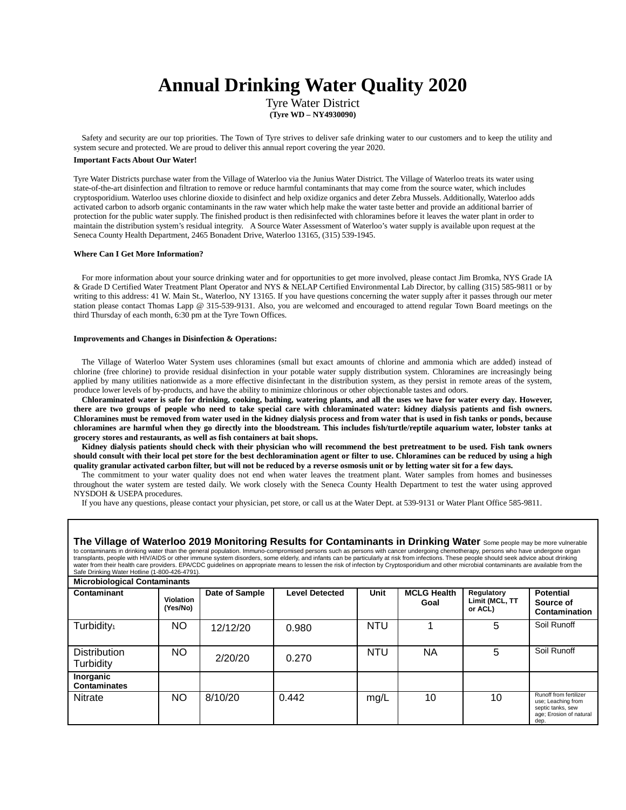# **Annual Drinking Water Quality 2020**

Tyre Water District **(Tyre WD – NY4930090)**

Safety and security are our top priorities. The Town of Tyre strives to deliver safe drinking water to our customers and to keep the utility and system secure and protected. We are proud to deliver this annual report covering the year 2020.

#### **Important Facts About Our Water!**

Tyre Water Districts purchase water from the Village of Waterloo via the Junius Water District. The Village of Waterloo treats its water using state-of-the-art disinfection and filtration to remove or reduce harmful contaminants that may come from the source water, which includes cryptosporidium. Waterloo uses chlorine dioxide to disinfect and help oxidize organics and deter Zebra Mussels. Additionally, Waterloo adds activated carbon to adsorb organic contaminants in the raw water which help make the water taste better and provide an additional barrier of protection for the public water supply. The finished product is then redisinfected with chloramines before it leaves the water plant in order to maintain the distribution system's residual integrity. A Source Water Assessment of Waterloo's water supply is available upon request at the Seneca County Health Department, 2465 Bonadent Drive, Waterloo 13165, (315) 539-1945.

#### **Where Can I Get More Information?**

For more information about your source drinking water and for opportunities to get more involved, please contact Jim Bromka, NYS Grade IA & Grade D Certified Water Treatment Plant Operator and NYS & NELAP Certified Environmental Lab Director, by calling (315) 585-9811 or by writing to this address: 41 W. Main St., Waterloo, NY 13165. If you have questions concerning the water supply after it passes through our meter station please contact Thomas Lapp @ 315-539-9131. Also, you are welcomed and encouraged to attend regular Town Board meetings on the third Thursday of each month, 6:30 pm at the Tyre Town Offices.

#### **Improvements and Changes in Disinfection & Operations:**

The Village of Waterloo Water System uses chloramines (small but exact amounts of chlorine and ammonia which are added) instead of chlorine (free chlorine) to provide residual disinfection in your potable water supply distribution system. Chloramines are increasingly being applied by many utilities nationwide as a more effective disinfectant in the distribution system, as they persist in remote areas of the system, produce lower levels of by-products, and have the ability to minimize chlorinous or other objectionable tastes and odors.

**Chloraminated water is safe for drinking, cooking, bathing, watering plants, and all the uses we have for water every day. However, there are two groups of people who need to take special care with chloraminated water: kidney dialysis patients and fish owners. Chloramines must be removed from water used in the kidney dialysis process and from water that is used in fish tanks or ponds, because chloramines are harmful when they go directly into the bloodstream. This includes fish/turtle/reptile aquarium water, lobster tanks at grocery stores and restaurants, as well as fish containers at bait shops.** 

**Kidney dialysis patients should check with their physician who will recommend the best pretreatment to be used. Fish tank owners should consult with their local pet store for the best dechloramination agent or filter to use. Chloramines can be reduced by using a high quality granular activated carbon filter, but will not be reduced by a reverse osmosis unit or by letting water sit for a few days.** 

The commitment to your water quality does not end when water leaves the treatment plant. Water samples from homes and businesses throughout the water system are tested daily. We work closely with the Seneca County Health Department to test the water using approved NYSDOH & USEPA procedures.

If you have any questions, please contact your physician, pet store, or call us at the Water Dept. at 539-9131 or Water Plant Office 585-9811.

| The Village of Waterloo 2019 Monitoring Results for Contaminants in Drinking Water Some people may be more vulnerable<br>to contaminants in drinking water than the general population. Immuno-compromised persons such as persons with cancer undergoing chemotherapy, persons who have undergone organ<br>transplants, people with HIV/AIDS or other immune system disorders, some elderly, and infants can be particularly at risk from infections. These people should seek advice about drinking<br>water from their health care providers. EPA/CDC guidelines on appropriate means to lessen the risk of infection by Cryptosporidium and other microbial contaminants are available from the<br>Safe Drinking Water Hotline (1-800-426-4791). |                              |          |       |            |      |                           |                                                                                                      |  |
|------------------------------------------------------------------------------------------------------------------------------------------------------------------------------------------------------------------------------------------------------------------------------------------------------------------------------------------------------------------------------------------------------------------------------------------------------------------------------------------------------------------------------------------------------------------------------------------------------------------------------------------------------------------------------------------------------------------------------------------------------|------------------------------|----------|-------|------------|------|---------------------------|------------------------------------------------------------------------------------------------------|--|
| <b>Microbiological Contaminants</b><br><b>Level Detected</b><br>Unit<br><b>MCLG Health</b><br><b>Potential</b><br>Contaminant<br>Date of Sample<br>Regulatory                                                                                                                                                                                                                                                                                                                                                                                                                                                                                                                                                                                        |                              |          |       |            |      |                           |                                                                                                      |  |
|                                                                                                                                                                                                                                                                                                                                                                                                                                                                                                                                                                                                                                                                                                                                                      | <b>Violation</b><br>(Yes/No) |          |       |            | Goal | Limit (MCL, TT<br>or ACL) | Source of<br>Contamination                                                                           |  |
| Turbidity <sub>1</sub>                                                                                                                                                                                                                                                                                                                                                                                                                                                                                                                                                                                                                                                                                                                               | NO                           | 12/12/20 | 0.980 | <b>NTU</b> |      | 5                         | Soil Runoff                                                                                          |  |
| <b>Distribution</b><br>Turbidity                                                                                                                                                                                                                                                                                                                                                                                                                                                                                                                                                                                                                                                                                                                     | NO.                          | 2/20/20  | 0.270 | <b>NTU</b> | ΝA   | 5                         | Soil Runoff                                                                                          |  |
| Inorganic<br><b>Contaminates</b>                                                                                                                                                                                                                                                                                                                                                                                                                                                                                                                                                                                                                                                                                                                     |                              |          |       |            |      |                           |                                                                                                      |  |
| Nitrate                                                                                                                                                                                                                                                                                                                                                                                                                                                                                                                                                                                                                                                                                                                                              | NO.                          | 8/10/20  | 0.442 | mg/L       | 10   | 10                        | Runoff from fertilizer<br>use; Leaching from<br>septic tanks, sew<br>age; Erosion of natural<br>dep. |  |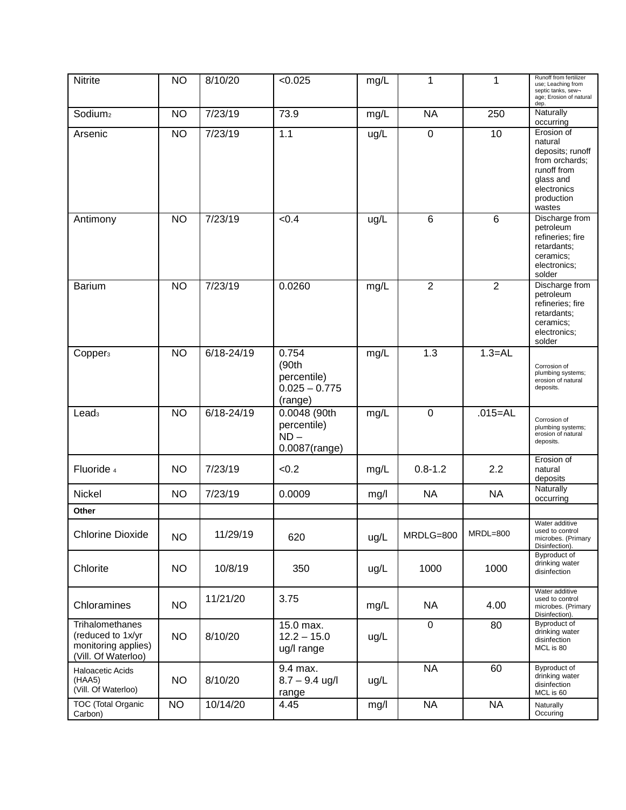| <b>Nitrite</b>                                                                     | <b>NO</b> | 8/10/20        | < 0.025                                                     | mg/L | 1              | 1              | Runoff from fertilizer<br>use; Leaching from<br>septic tanks, sew-<br>age; Erosion of natural<br>dep.                          |
|------------------------------------------------------------------------------------|-----------|----------------|-------------------------------------------------------------|------|----------------|----------------|--------------------------------------------------------------------------------------------------------------------------------|
| Sodium <sub>2</sub>                                                                | <b>NO</b> | 7/23/19        | 73.9                                                        | mg/L | <b>NA</b>      | 250            | Naturally<br>occurring                                                                                                         |
| Arsenic                                                                            | <b>NO</b> | 7/23/19        | 1.1                                                         | ug/L | $\mathbf 0$    | 10             | Erosion of<br>natural<br>deposits; runoff<br>from orchards;<br>runoff from<br>glass and<br>electronics<br>production<br>wastes |
| Antimony                                                                           | <b>NO</b> | 7/23/19        | < 0.4                                                       | ug/L | 6              | 6              | Discharge from<br>petroleum<br>refineries; fire<br>retardants;<br>ceramics;<br>electronics;<br>solder                          |
| <b>Barium</b>                                                                      | <b>NO</b> | 7/23/19        | 0.0260                                                      | mg/L | $\overline{2}$ | $\overline{2}$ | Discharge from<br>petroleum<br>refineries; fire<br>retardants;<br>ceramics;<br>electronics;<br>solder                          |
| Copper <sub>3</sub>                                                                | <b>NO</b> | $6/18 - 24/19$ | 0.754<br>(90th<br>percentile)<br>$0.025 - 0.775$<br>(range) | mg/L | 1.3            | $1.3 = AL$     | Corrosion of<br>plumbing systems;<br>erosion of natural<br>deposits.                                                           |
| Lead <sub>3</sub>                                                                  | <b>NO</b> | $6/18 - 24/19$ | 0.0048 (90th<br>percentile)<br>$ND -$<br>0.0087(range)      | mg/L | $\mathbf 0$    | $.015 = AL$    | Corrosion of<br>plumbing systems;<br>erosion of natural<br>deposits.                                                           |
| Fluoride 4                                                                         | <b>NO</b> | 7/23/19        | < 0.2                                                       | mg/L | $0.8 - 1.2$    | 2.2            | Erosion of<br>natural<br>deposits                                                                                              |
| Nickel                                                                             | <b>NO</b> | 7/23/19        | 0.0009                                                      | mg/l | <b>NA</b>      | <b>NA</b>      | Naturally<br>occurring                                                                                                         |
| Other                                                                              |           |                |                                                             |      |                |                | Water additive                                                                                                                 |
| <b>Chlorine Dioxide</b>                                                            | <b>NO</b> | 11/29/19       | 620                                                         | ug/L | MRDLG=800      | MRDL=800       | used to control<br>microbes. (Primary<br>Disinfection).                                                                        |
| Chlorite                                                                           | <b>NO</b> | 10/8/19        | 350                                                         | ug/L | 1000           | 1000           | Byproduct of<br>drinking water<br>disinfection                                                                                 |
| Chloramines                                                                        | <b>NO</b> | 11/21/20       | 3.75                                                        | mg/L | <b>NA</b>      | 4.00           | Water additive<br>used to control<br>microbes. (Primary<br>Disinfection).                                                      |
| Trihalomethanes<br>(reduced to 1x/yr<br>monitoring applies)<br>(Vill. Of Waterloo) | <b>NO</b> | 8/10/20        | 15.0 max.<br>$12.2 - 15.0$<br>ug/I range                    | ug/L | $\mathbf 0$    | 80             | Byproduct of<br>drinking water<br>disinfection<br>MCL is 80                                                                    |
| Haloacetic Acids<br>(HAA5)<br>(Vill. Of Waterloo)                                  | <b>NO</b> | 8/10/20        | 9.4 max.<br>$8.7 - 9.4$ ug/l<br>range                       | ug/L | <b>NA</b>      | 60             | Byproduct of<br>drinking water<br>disinfection<br>MCL is 60                                                                    |
| TOC (Total Organic<br>Carbon)                                                      | <b>NO</b> | 10/14/20       | 4.45                                                        | mg/l | <b>NA</b>      | <b>NA</b>      | Naturally<br>Occuring                                                                                                          |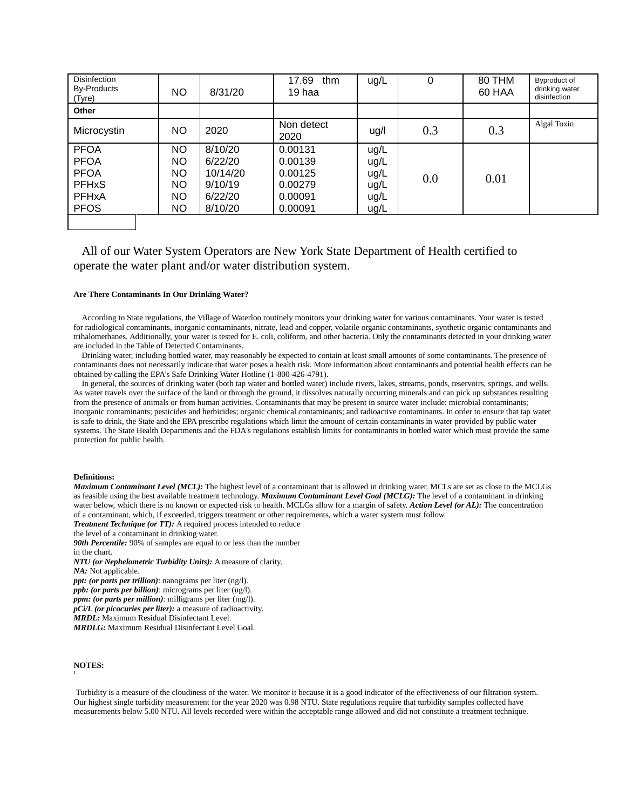| <b>Disinfection</b><br>By-Products<br>(Tyre) | NO  | 8/31/20  | 17.69<br>thm<br>19 haa | ug/L | 0   | 80 THM<br>60 HAA | Byproduct of<br>drinking water<br>disinfection |
|----------------------------------------------|-----|----------|------------------------|------|-----|------------------|------------------------------------------------|
| Other                                        |     |          |                        |      |     |                  |                                                |
| Microcystin                                  | NO  | 2020     | Non detect<br>2020     | ug/l | 0.3 | 0.3              | Algal Toxin                                    |
| <b>PFOA</b>                                  | NO. | 8/10/20  | 0.00131                | ug/L |     |                  |                                                |
| <b>PFOA</b>                                  | NO. | 6/22/20  | 0.00139                | ug/L |     |                  |                                                |
| <b>PFOA</b>                                  | NO. | 10/14/20 | 0.00125                | ug/L | 0.0 | 0.01             |                                                |
| <b>PFHxS</b>                                 | NO  | 9/10/19  | 0.00279                | ug/L |     |                  |                                                |
| <b>PFHxA</b>                                 | NO  | 6/22/20  | 0.00091                | ug/L |     |                  |                                                |
| <b>PFOS</b>                                  | NO  | 8/10/20  | 0.00091                | ug/L |     |                  |                                                |
|                                              |     |          |                        |      |     |                  |                                                |

## All of our Water System Operators are New York State Department of Health certified to operate the water plant and/or water distribution system.

#### **Are There Contaminants In Our Drinking Water?**

According to State regulations, the Village of Waterloo routinely monitors your drinking water for various contaminants. Your water is tested for radiological contaminants, inorganic contaminants, nitrate, lead and copper, volatile organic contaminants, synthetic organic contaminants and trihalomethanes. Additionally, your water is tested for E. coli, coliform, and other bacteria. Only the contaminants detected in your drinking water are included in the Table of Detected Contaminants.

Drinking water, including bottled water, may reasonably be expected to contain at least small amounts of some contaminants. The presence of contaminants does not necessarily indicate that water poses a health risk. More information about contaminants and potential health effects can be obtained by calling the EPA's Safe Drinking Water Hotline (1-800-426-4791).

In general, the sources of drinking water (both tap water and bottled water) include rivers, lakes, streams, ponds, reservoirs, springs, and wells. As water travels over the surface of the land or through the ground, it dissolves naturally occurring minerals and can pick up substances resulting from the presence of animals or from human activities. Contaminants that may be present in source water include: microbial contaminants; inorganic contaminants; pesticides and herbicides; organic chemical contaminants; and radioactive contaminants. In order to ensure that tap water is safe to drink, the State and the EPA prescribe regulations which limit the amount of certain contaminants in water provided by public water systems. The State Health Departments and the FDA's regulations establish limits for contaminants in bottled water which must provide the same protection for public health.

#### **Definitions:**

*Maximum Contaminant Level (MCL)*: The highest level of a contaminant that is allowed in drinking water. MCLs are set as close to the MCLGs as feasible using the best available treatment technology. *Maximum Contaminant Level Goal (MCLG):* The level of a contaminant in drinking water below, which there is no known or expected risk to health. MCLGs allow for a margin of safety. *Action Level (or AL)*: The concentration of a contaminant, which, if exceeded, triggers treatment or other requirements, which a water system must follow.

*Treatment Technique (or TT):* A required process intended to reduce

the level of a contaminant in drinking water.

**90th Percentile:** 90% of samples are equal to or less than the number

in the chart.

*NTU (or Nephelometric Turbidity Units):* A measure of clarity.

*NA:* Not applicable.

*ppt: (or parts per trillion)*: nanograms per liter (ng/l).

*ppb: (or parts per billion)*: micrograms per liter (ug/l). *ppm: (or parts per million)*: milligrams per liter (mg/l).

*pCi/L (or picocuries per liter):* a measure of radioactivity.

*MRDL:* Maximum Residual Disinfectant Level.

*MRDLG:* Maximum Residual Disinfectant Level Goal.

#### **NOTES:**  1

Turbidity is a measure of the cloudiness of the water. We monitor it because it is a good indicator of the effectiveness of our filtration system. Our highest single turbidity measurement for the year 2020 was 0.98 NTU. State regulations require that turbidity samples collected have measurements below 5.00 NTU. All levels recorded were within the acceptable range allowed and did not constitute a treatment technique.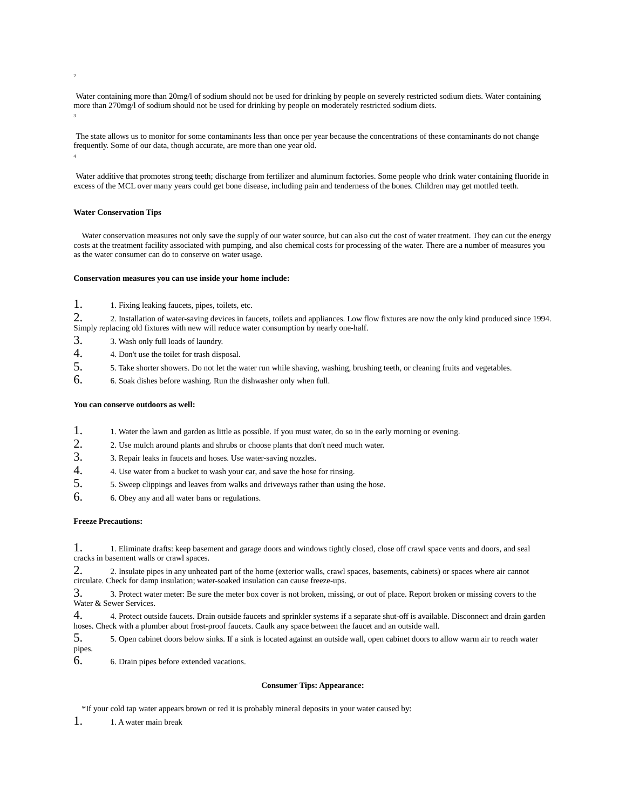2

4

Water containing more than 20mg/l of sodium should not be used for drinking by people on severely restricted sodium diets. Water containing more than 270mg/l of sodium should not be used for drinking by people on moderately restricted sodium diets. 3

The state allows us to monitor for some contaminants less than once per year because the concentrations of these contaminants do not change frequently. Some of our data, though accurate, are more than one year old.

Water additive that promotes strong teeth; discharge from fertilizer and aluminum factories. Some people who drink water containing fluoride in excess of the MCL over many years could get bone disease, including pain and tenderness of the bones. Children may get mottled teeth.

#### **Water Conservation Tips**

Water conservation measures not only save the supply of our water source, but can also cut the cost of water treatment. They can cut the energy costs at the treatment facility associated with pumping, and also chemical costs for processing of the water. There are a number of measures you as the water consumer can do to conserve on water usage.

#### **Conservation measures you can use inside your home include:**

1. <sup>1</sup>. Fixing leaking faucets, pipes, toilets, etc.

2. 2. Installation of water-saving devices in faucets, toilets and appliances. Low flow fixtures are now the only kind produced since 1994. Simply replacing old fixtures with new will reduce water consumption by nearly one-half.

- 3. 3. Wash only full loads of laundry.
- 4. 4. Don't use the toilet for trash disposal.<br>5. 5. Take shorter showers. Do not let the v
- 5. 5. Take shorter showers. Do not let the water run while shaving, washing, brushing teeth, or cleaning fruits and vegetables.
- 6. 6. Soak dishes before washing. Run the dishwasher only when full.

#### **You can conserve outdoors as well:**

- 1. 1. Water the lawn and garden as little as possible. If you must water, do so in the early morning or evening.
- 2. 2. Use mulch around plants and shrubs or choose plants that don't need much water.
- 3. 3. Repair leaks in faucets and hoses. Use water-saving nozzles.
- 4. 4. Use water from a bucket to wash your car, and save the hose for rinsing.
- 5. 5. Sweep clippings and leaves from walks and driveways rather than using the hose.
- 6. 6. Obey any and all water bans or regulations.

#### **Freeze Precautions:**

1. 1. Eliminate drafts: keep basement and garage doors and windows tightly closed, close off crawl space vents and doors, and seal cracks in basement walls or crawl spaces.

2. 2. Insulate pipes in any unheated part of the home (exterior walls, crawl spaces, basements, cabinets) or spaces where air cannot circulate. Check for damp insulation; water-soaked insulation can cause freeze-ups.

3. 3. Protect water meter: Be sure the meter box cover is not broken, missing, or out of place. Report broken or missing covers to the Water & Sewer Services.

4. 4. Protect outside faucets. Drain outside faucets and sprinkler systems if a separate shut-off is available. Disconnect and drain garden hoses. Check with a plumber about frost-proof faucets. Caulk any space between the faucet and an outside wall.

5. 5. Open cabinet doors below sinks. If a sink is located against an outside wall, open cabinet doors to allow warm air to reach water pipes.

6. 6. Drain pipes before extended vacations.

#### **Consumer Tips: Appearance:**

\*If your cold tap water appears brown or red it is probably mineral deposits in your water caused by:

1. 1. A water main break